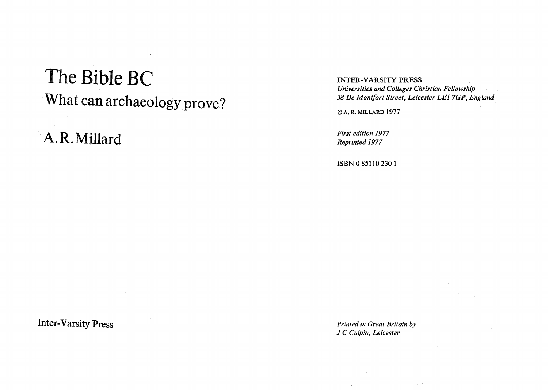# The Bible BC What can archaeology prove?

A.R.Millard

INTER-VARSITY PRESS *Universities and Colleges Christian Fellowship 38 De Mont/ort Street, Leicester LE17GP, England* 

© A. R. MILLARD 1977

*First edition 1977 Reprinted 1977* 

ISBN 085110 2301

Inter-Varsity Press

*Printed in Great Britain by J.C Cui pin, Leicester*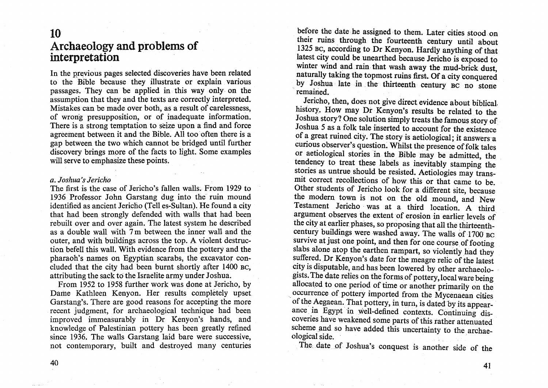### 10 Archaeology and problems of interpretation

In the previous pages selected discoveries have been related to the Bible because they illustrate or explam vanous passages. They can be applied in this way only on the assumption that they and the texts are correctly interpreted. Mistakes can be made over both, as a result of carelessness, of wrong presupposition, or of inadequate information. There is a strong temptation to seize upon a find and force agreement between it and the Bible. All too often there is a gap between the two which cannot be bridged until further discovery brings more of the facts to light. Some examples will serve to emphasize these points.

#### *a. Joshua'sJerich'o*

The first is the case of Jericho's fallen walls. From 1929 to 1936 Professor John Garstang dug into the ruin mound identified as ancient Jericho (Tell es-Sultan). He found a city that had been strongly defended with walls that had been rebuilt over and over again. The latest system he described as a double wall with 7 m between the inner wall and the outer, and with buildings across the top. A violent destruction befell this wall. With evidence from the pottery and the pharaoh's names on Egyptian scarabs, the excavator concluded that the city had been burnt shortly after 1400 BC, attributing the sack to the Israelite army under Joshua.

From 1952 to 1958 further work was done at Jericho, by Dame Kathleen Kenyon. Her results completely upset Garstang's. There are good reasons for accepting the more recent judgment, for archaeological technique had been improved immeasurably in Dr Kenyon's hands, and knowledge of Palestinian pottery has been greatly refined since 1936. The walls Garstang laid bare were successive, not contemporary, built and destroyed many centuries

before the date he assigned to them. Later cities stood on their ruins through the fourteenth century until about 1325 BC, according to Dr Kenyon. Hardly anything of that latest city could be unearthed because Jericho is exposed to winter wind and rain that wash away the mud-brick dust, naturally taking the topmost ruins first. Of a city conquered by Joshua late in the thirteenth century BC no stone remained.

Jericho, then, does not give direct evidence about biblical, history. How may Dr Kenyon's results be related to the Joshua story? One solution simply treats the famous story of Joshua 5 as a folk tale inserted to account for the existence of a great ruined city. The story is aetiological; it answers a curious observer's question. Whilst the presence of folk tales or aetiological stories in the Bible may be admitted, the tendency to treat these labels as inevitably stamping the stories as untrue should be resisted. Aetiologies may transmit correct recollections of how this or that came to be. Other students of Jericho look for a different site, because the modern town is not on the old mound, and New Testament Jericho· was at a third location. A third argument observes the extent of erosion in earlier levels of the city at earlier phases, so proposing that all the thirteenthcentury buildings were washed away. The walls of 1700 BC survive at just one point, and then for one course of footing slabs alone atop the earthen rampart, so violently had they suffered. Dr Kenyon's date for the meagre relic of the latest city is disputable, and has been lowered by other archaeologists. The date relies on the forms of pottery, local ware being allocated to one period of time or another primarily on the occurrence of pottery imported from the Mycenaean cities of the Aegaean. That pottery, in turn, is dated by its appearance in Egypt in well-defined contexts. Continuing discoveries have weakened some parts of this rather attenuated scheme and so have added this uncertainty to the archaeological side. .

The, date of Joshua's conquest is another side of the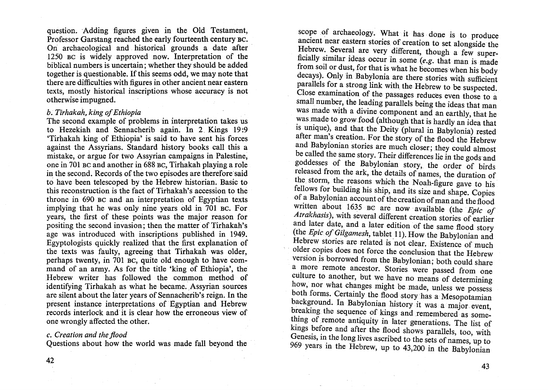question. Adding figures given in the Old Testament, Professor Garstang reached the early fourteenth century BC. On archaeological and historical grounds a date after 1250 BC is widely approved now. Interpretation of the biblical numbers is uncertain; whether they should be added together is questionable. If this seems odd, we may note that there are difficulties with figures in other ancient near eastern texts, mostly historical inscriptions whose accuracy is not otherwise impugned.

#### *b. Tirhakah, king of Ethiopia*

The second example of problems in interpretation takes us to Hezekiah and Sennacherib again. In 2 Kings 19:9 'Tirhakah king of Ethiopia' is said to have sent his forces against the Assyrians. Standard history books call this a mistake, or argue for two Assyrian campaigns in Palestine, one in701 BC and another in 688 BC, Tirhakah playing a role in the second. Records of the two episodes are therefore said to have been telescoped by the Hebrew historian. Basic to this reconstruction is the fact of Tirhakah's accession to the throne in 690 BC and an interpretation of Egyptian texts implying that he was only nine years old in 701 BC. For years, the first of these points was the major reason for positing the second invasion; then the matter of Tirhakah's age was introduced with inscriptions published in 1949. Egyptologists quickly realized that the first explanation of the texts was faulty, agreeing that Tirhakah was older, perhaps twenty, in 701 BC, quite old enough to have command of an army. As for the title 'king of Ethiopia', the Hebrew writer has followed the common method of identifying Tirhakah as what he became. Assyrian sources are silent about the fater years of Sennacherib's reign. In the present instance interpretations of Egyptian and Hebrew records interlock and it is clear how the erroneous view of one wrongly affected the other.

#### *c. Creation and the flood*

Questions about how the world was made fall beyond the

scope of archaeology. What it has done is to produce ancient near eastern stories of creation to set alongside the Hebrew. Several are very different, though a few superficially similar ideas occur in some (e.g. that man is made from soil or dust, for that is what he becomes when his body decays). Only in Babylonia are there stories with sufficient parallels for a strong link with the Hebrew to be suspected. Close examination of the passages reduces even those to a small number, the leading parallels being the ideas that man was made with a divine component and an earthly, that he was made to grow food (although that is hardly an idea that is unique), and that the Deity (plural in Babylonia) rested after man's creation. For the story of the flood the Hebrew and Babylonian stories are much closer; they could almost be called the same story. Their differences lie in the gods and goddesses of the Babylonian story, the order of birds released from the ark, the details of names, the duration of the storm, the reasons which the Noah-figure gave to his fellows for building his ship, and its size and shape. Copies of a Babylonian account of the creation of man and the flood written about 1635 BC are now available (the *Epic of* Atrakhasis), with several different creation stories of earlier and later date, and a later edition of the same flood story (the *Epic of Gilgamesh*, tablet 11). How the Babylonian and Hebrew stories are related is not clear. Existence of much older copies does not force the conclusion that the Hebrew version is borrowed from the Babylonian; both could share a more remote ancestor. Stories were passed from one culture to another, but we have no means of determining how, nor what changes might be made, unless we possess both forms. Certainly the flood story has a Mesopotamian background. In Babylonian history it was a major event, breaking the sequence of kings and remembered as something of remote antiquity in later generations. The list of kings before and after the flood shows parallels, too, with Genesis, in the long lives ascribed to the sets of names, up to 969 years in the Hebrew, up to 43,200 in the Babylonian